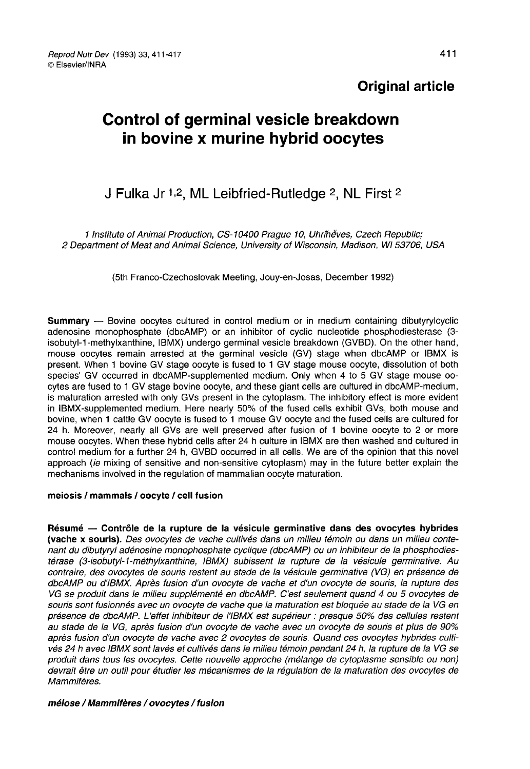# Original article

# Control of germinal vesicle breakdown in bovine x murine hybrid oocytes

# J Fulka Jr 1,2, ML Leibfried-Rutledge 2, NL First 2

1 Institute of Animal Production, CS-10400 Prague 10, Uhriheves, Czech Republic; 2 Department of Meat and Animal Science, University of Wisconsin, Madison, Wi 53706, USA

(5th Franco-Czechoslovak Meeting, Jouy-en-Josas, December 1992)

Summary ― Bovine oocytes cultured in control medium or in medium containing dibutyrylcyclic adenosine monophosphate (dbcAMP) or an inhibitor of cyclic nucleotide phosphodiesterase (3 isobutyl-1-methylxanthine, IBMX) undergo germinal vesicle breakdown (GVBD). On the other hand, mouse oocytes remain arrested at the germinal vesicle (GV) stage when dbcAMP or IBMX is present. When 1 bovine GV stage oocyte is fused to 1 GV stage mouse oocyte, dissolution of both species' GV occurred in dbcAMP-supplemented medium. Only when 4 to 5 GV stage mouse oocytes are fused to 1 GV stage bovine oocyte, and these giant cells are cultured in dbcAMP-medium, is maturation arrested with only GVs present in the cytoplasm. The inhibitory effect is more evident in IBMX-supplemented medium. Here nearly 50% of the fused cells exhibit GVs, both mouse and bovine, when 1 cattle GV oocyte is fused to 1 mouse GV oocyte and the fused cells are cultured for 24 h. Moreover, nearly all GVs are well preserved after fusion of 1 bovine oocyte to 2 or more mouse oocytes. When these hybrid cells after 24 h culture in IBMX are then washed and cultured in control medium for a further 24 h, GVBD occurred in all cells. We are of the opinion that this novel approach (ie mixing of sensitive and non-sensitive cytoplasm) may in the future better explain the mechanisms involved in the regulation of mammalian oocyte maturation.

#### meiosis / mammals / oocyte / cell fusion

Résumé ― Contrôle de la rupture de la vésicule germinative dans des ovocytes hybrides (vache x souris). Des ovocytes de vache cultivés dans un milieu témoin ou dans un milieu contenant du dibutyryl adénosine monophosphate cyclique (dbcAMP) ou un inhibiteur de la phosphodiestérase (3-isobutyl-1-méthylxanthine, IBMX) subissent la rupture de la vésicule germinative. Au contraire, des ovocytes de souris restent au stade de la vésicule germinative (VG) en présence de dbcAMP ou d'IBMX. Après fusion d'un ovocyte de vache et d'un ovocyte de souris, la rupture des VG se produit dans le milieu supplémenté en dbcAMP. C'est seulement quand 4 ou 5 ovocytes de souris sont fusionnés avec un ovocyte de vache que la maturation est bloquée au stade de la VG en présence de dbcAMP. L'effet inhibiteur de l'IBMX est supérieur : presque 50% des cellules restent au stade de la VG, après fusion d'un ovocyte de vache avec un ovocyte de souris et plus de 90% après fusion d'un ovocyte de vache avec 2 ovocytes de souris. Quand ces ovocytes hybrides cultivés 24 h avec IBMX sont lavés et cultivés dans le milieu témoin pendant 24 h, la rupture de la VG se produit dans tous les ovocytes. Cette nouvelle approche (mélange de cytoplasme sensible ou non) devrait être un outil pour étudier les mécanismes de la régulation de la maturation des ovocytes de Mammifères.

#### méiose / Mammifères / ovocytes / fusion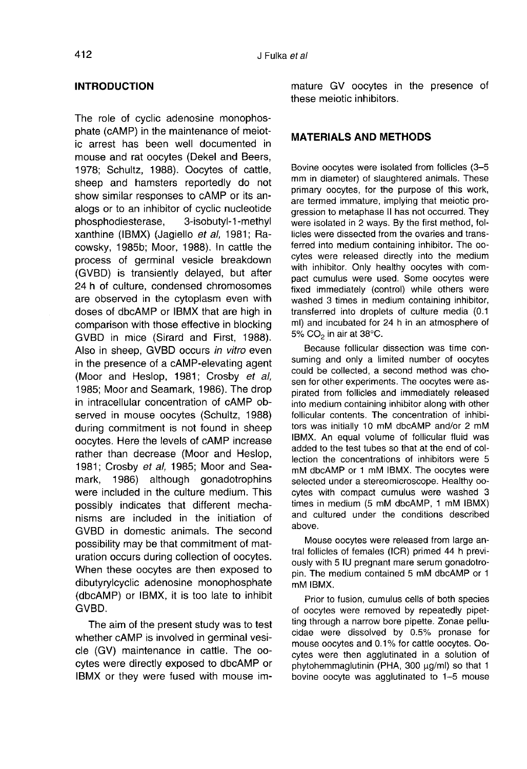#### INTRODUCTION

The role of cyclic adenosine monophosphate (cAMP) in the maintenance of meiotic arrest has been well documented in mouse and rat oocytes (Dekel and Beers, 1978; Schultz, 1988). Oocytes of cattle, sheep and hamsters reportedly do not show similar responses to cAMP or its analogs or to an inhibitor of cyclic nucleotide<br>phosphodiesterase, 3-isobutyl-1-methyl phosphodiesterase, xanthine (IBMX) (Jagiello et al, 1981; Racowsky, 1985b; Moor, 1988). In cattle the process of germinal vesicle breakdown (GVBD) is transiently delayed, but after 24 h of culture, condensed chromosomes are observed in the cytoplasm even with doses of dbcAMP or IBMX that are high in comparison with those effective in blocking GVBD in mice (Sirard and First, 1988). Also in sheep, GVBD occurs in vitro even in the presence of a cAMP-elevating agent (Moor and Heslop, 1981; Crosby et al, 1985; Moor and Seamark, 1986). The drop in intracellular concentration of cAMP observed in mouse oocytes (Schultz, 1988) during commitment is not found in sheep oocytes. Here the levels of cAMP increase rather than decrease (Moor and Heslop, 1981; Crosby et al, 1985; Moor and Seamark, 1986) although gonadotrophins were included in the culture medium. This possibly indicates that different mechanisms are included in the initiation of GVBD in domestic animals. The second possibility may be that commitment of maturation occurs during collection of oocytes. When these oocytes are then exposed to dibutyrylcyclic adenosine monophosphate (dbcAMP) or IBMX, it is too late to inhibit GVBD.

The aim of the present study was to test whether cAMP is involved in germinal vesicle (GV) maintenance in cattle. The oocytes were directly exposed to dbcAMP or IBMX or they were fused with mouse im-

mature GV oocytes in the presence of these meiotic inhibitors.

## MATERIALS AND METHODS

Bovine oocytes were isolated from follicles (3-5 mm in diameter) of slaughtered animals. These primary oocytes, for the purpose of this work, are termed immature, implying that meiotic progression to metaphase II has not occurred. They were isolated in 2 ways. By the first method, follicles were dissected from the ovaries and transferred into medium containing inhibitor. The oocytes were released directly into the medium with inhibitor. Only healthy oocytes with compact cumulus were used. Some oocytes were fixed immediately (control) while others were washed 3 times in medium containing inhibitor, transferred into droplets of culture media (0.1 ml) and incubated for 24 h in an atmosphere of 5%  $CO_2$  in air at 38°C.

Because follicular dissection was time consuming and only a limited number of oocytes could be collected, a second method was chosen for other experiments. The oocytes were aspirated from follicles and immediately released into medium containing inhibitor along with other follicular contents. The concentration of inhibitors was initially 10 mM dbcAMP and/or 2 mM IBMX. An equal volume of follicular fluid was added to the test tubes so that at the end of collection the concentrations of inhibitors were 5 mM dbcAMP or 1 mM IBMX. The oocytes were selected under a stereomicroscope. Healthy oocytes with compact cumulus were washed 3 times in medium (5 mM dbcAMP, 1 mM IBMX) and cultured under the conditions described above.

Mouse oocytes were released from large antral follicles of females (ICR) primed 44 h previously with 5 IU pregnant mare serum gonadotropin. The medium contained 5 mM dbcAMP or 1 mM IBMX.

Prior to fusion, cumulus cells of both species of oocytes were removed by repeatedly pipetting through a narrow bore pipette. Zonae pellucidae were dissolved by 0.5% pronase for mouse oocytes and 0.1 % for cattle oocytes. Oocytes were then agglutinated in a solution of phytohemmaglutinin (PHA, 300 µg/ml) so that 1 bovine oocyte was agglutinated to 1-5 mouse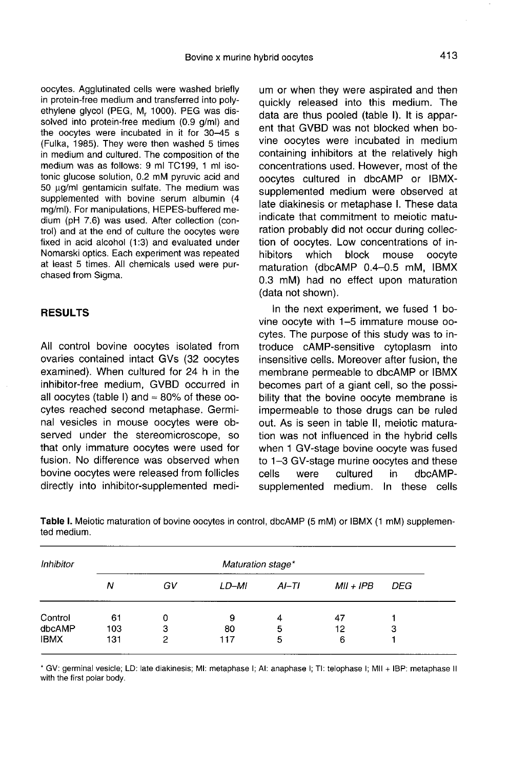oocytes. Agglutinated cells were washed briefly in protein-free medium and transferred into polyethylene glycol (PEG, M, 1000). PEG was dissolved into protein-free medium (0.9 g/ml) and the oocytes were incubated in it for 30-45 s (Fulka, 1985). They were then washed 5 times in medium and cultured. The composition of the medium was as follows: 9 ml TC199, 1 ml isotonic glucose solution, 0.2 mM pyruvic acid and 50 µg/ml gentamicin sulfate. The medium was supplemented with bovine serum albumin (4 mg/ml). For manipulations, HEPES-buffered medium (pH 7.6) was used. After collection (control) and at the end of culture the oocytes were fixed in acid alcohol (1:3) and evaluated under Nomarski optics. Each experiment was repeated at least 5 times. All chemicals used were purchased from Sigma.

# RESULTS

All control bovine oocytes isolated from ovaries contained intact GVs (32 oocytes examined). When cultured for 24 h in the inhibitor-free medium, GVBD occurred in all oocytes (table I) and  $\approx 80\%$  of these oocytes reached second metaphase. Germinal vesicles in mouse oocytes were observed under the stereomicroscope, so that only immature oocytes were used for fusion. No difference was observed when bovine oocytes were released from follicles directly into inhibitor-supplemented medium or when they were aspirated and then quickly released into this medium. The data are thus pooled (table I). It is apparent that GVBD was not blocked when bovine oocytes were incubated in medium containing inhibitors at the relatively high concentrations used. However, most of the oocytes cultured in dbcAMP or IBMXsupplemented medium were observed at late diakinesis or metaphase I. These data indicate that commitment to meiotic maturation probably did not occur during collection of oocytes. Low concentrations of in-<br>hibitors which block mouse oocyte block mouse oocyte maturation (dbcAMP 0.4-0.5 mM, IBMX 0.3 mM) had no effect upon maturation (data not shown).

In the next experiment, we fused 1 bovine oocyte with 1-5 immature mouse oocytes. The purpose of this study was to introduce cAMP-sensitive cytoplasm into insensitive cells. Moreover after fusion, the membrane permeable to dbcAMP or IBMX becomes part of a giant cell, so the possibility that the bovine oocyte membrane is impermeable to those drugs can be ruled out. As is seen in table II, meiotic maturation was not influenced in the hybrid cells when 1 GV-stage bovine oocyte was fused to 1-3 GV-stage murine oocytes and these<br>cells were cultured in dbcAMPdbcAMPsupplemented medium. In these cells

| Inhibitor   | Maturation stage* |    |       |         |             |     |  |  |  |
|-------------|-------------------|----|-------|---------|-------------|-----|--|--|--|
|             | Ν                 | GV | LD-MI | $AI-TI$ | $MII + IPB$ | DEG |  |  |  |
| Control     | 61                | 0  | 9     | 4       | 47          |     |  |  |  |
| dbcAMP      | 103               | 3  | 80    | 5       | 12          | 3   |  |  |  |
| <b>IBMX</b> | 131               | 2  | 117   | 5       | 6           |     |  |  |  |

Table I. Meiotic maturation of bovine oocytes in control, dbcAMP (5 mM) or IBMX (1 mM) supplemented medium.

\* GV: germinal vesicle; LD: late diakinesis; MI: metaphase I; AI: anaphase I; TI: telophase I; MII + IBP: metaphase II with the first polar body.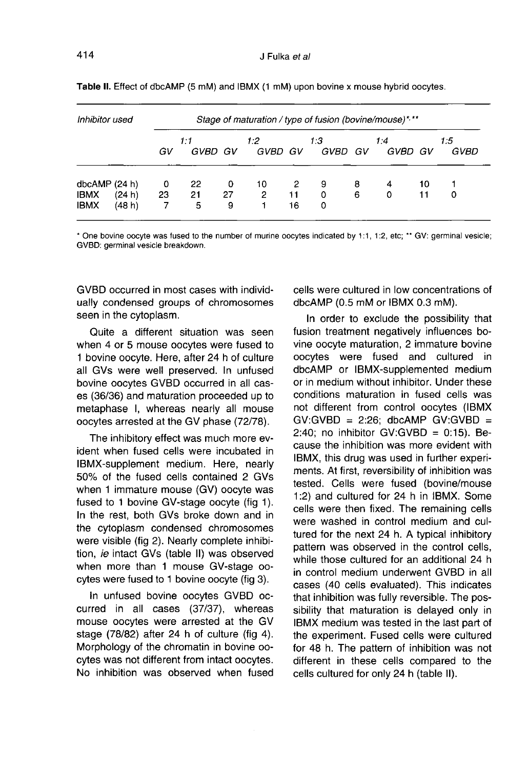| Inhibitor used               |        |         | Stage of maturation / type of fusion (bovine/mouse)*,** |         |                |         |             |        |                |          |             |  |
|------------------------------|--------|---------|---------------------------------------------------------|---------|----------------|---------|-------------|--------|----------------|----------|-------------|--|
|                              |        | GV      | 1:1<br>GVBD GV                                          |         | 1:2<br>GVBD GV |         | 1:3<br>GVBD | GV     | 1:4<br>GVBD GV |          | 1:5<br>GVBD |  |
| dbcAMP (24 h)<br><b>IBMX</b> | (24 h) | 0<br>23 | -22<br>21                                               | 0<br>27 | 10<br>2        | 2<br>11 | 9<br>0      | 8<br>6 | 4<br>0         | 10<br>11 | 0           |  |
| <b>IBMX</b>                  | (48 h) | 7       | 5                                                       | 9       |                | 16      | 0           |        |                |          |             |  |

Table II. Effect of dbcAMP (5 mM) and IBMX (1 mM) upon bovine x mouse hybrid oocytes.

\* One bovine oocyte was fused to the number of murine oocytes indicated by 1:1, 1:2, etc; \*\* GV: germinal vesicle; GVBD: germinal vesicle breakdown.

GVBD occurred in most cases with individually condensed groups of chromosomes seen in the cytoplasm.

Quite a different situation was seen when 4 or 5 mouse oocytes were fused to 1 bovine oocyte. Here, after 24 h of culture all GVs were well preserved. In unfused bovine oocytes GVBD occurred in all cases (36/36) and maturation proceeded up to metaphase I, whereas nearly all mouse oocytes arrested at the GV phase (72/78).

The inhibitory effect was much more evident when fused cells were incubated in IBMX-supplement medium. Here, nearly 50% of the fused cells contained 2 GVs when 1 immature mouse (GV) oocyte was fused to 1 bovine GV-stage oocyte (fig 1). In the rest, both GVs broke down and in the cytoplasm condensed chromosomes were visible (fig 2). Nearly complete inhibition, ie intact GVs (table II) was observed when more than 1 mouse GV-stage oocytes were fused to 1 bovine oocyte (fig 3).

In unfused bovine oocytes GVBD occurred in all cases (37/37), whereas mouse oocytes were arrested at the GV stage (78/82) after 24 h of culture (fig 4). Morphology of the chromatin in bovine oocytes was not different from intact oocytes. No inhibition was observed when fused cells were cultured in low concentrations of dbcAMP (0.5 mM or IBMX 0.3 mM).

In order to exclude the possibility that fusion treatment negatively influences bovine oocyte maturation, 2 immature bovine oocytes were fused and cultured in dbcAMP or IBMX-supplemented medium or in medium without inhibitor. Under these conditions maturation in fused cells was not different from control oocytes (IBMX  $GV:GVBD = 2:26$ ; dbcAMP  $GV:GVBD =$ 2:40; no inhibitor GV:GVBD =  $0:15$ ). Because the inhibition was more evident with IBMX, this drug was used in further experi ments. At first, reversibility of inhibition was tested. Cells were fused (bovine/mouse 1:2) and cultured for 24 h in IBMX. Some cells were then fixed. The remaining cells were washed in control medium and cultured for the next 24 h. A typical inhibitory pattern was observed in the control cells, while those cultured for an additional 24 h in control medium underwent GVBD in all cases (40 cells evaluated). This indicates that inhibition was fully reversible. The possibility that maturation is delayed only in IBMX medium was tested in the last part of the experiment. Fused cells were cultured for 48 h. The pattern of inhibition was not different in these cells compared to the cells cultured for only 24 h (table II).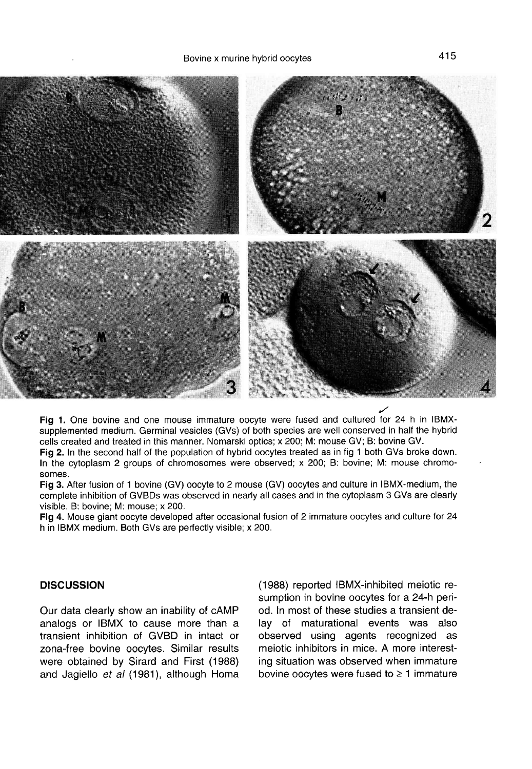

Fig 1. One bovine and one mouse immature oocyte were fused and cultured for 24 h in IBMXsupplemented medium. Germinal vesicles (GVs) of both species are well conserved in half the hybrid cells created and treated in this manner. Nomarski optics; x 200; M: mouse GV; B: bovine GV.

Fig 2. In the second half of the population of hybrid oocytes treated as in fig 1 both GVs broke down. In the cytoplasm 2 groups of chromosomes were observed; x 200; B: bovine; M: mouse chromosomes.

Fig 3. After fusion of 1 bovine (GV) oocyte to 2 mouse (GV) oocytes and culture in IBMX-medium, the complete inhibition of GVBDs was observed in nearly all cases and in the cytoplasm 3 GVs are clearly visible. B: bovine; M: mouse; x 200.

Fig 4. Mouse giant oocyte developed after occasional fusion of 2 immature oocytes and culture for 24 h in IBMX medium. Both GVs are perfectly visible; x 200.

#### **DISCUSSION**

Our data clearly show an inability of cAMP analogs or IBMX to cause more than a transient inhibition of GVBD in intact or zona-free bovine oocytes. Similar results were obtained by Sirard and First (1988) and Jagiello et al (1981), although Homa

(1988) reported IBMX-inhibited meiotic resumption in bovine oocytes for a 24-h period. In most of these studies a transient delay of maturational events was also observed using agents recognized as meiotic inhibitors in mice. A more interesting situation was observed when immature bovine oocytes were fused to  $\geq 1$  immature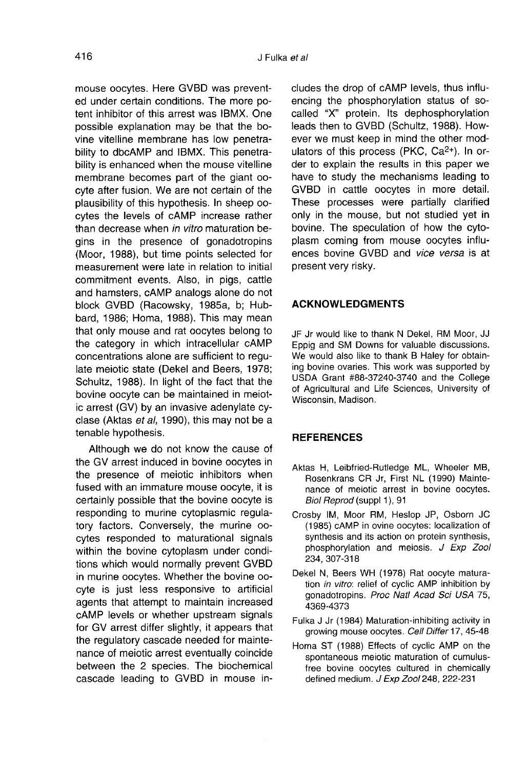mouse oocytes. Here GVBD was prevented under certain conditions. The more potent inhibitor of this arrest was IBMX. One possible explanation may be that the bovine vitelline membrane has low penetrability to dbcAMP and IBMX. This penetrability is enhanced when the mouse vitelline membrane becomes part of the giant oocyte after fusion. We are not certain of the plausibility of this hypothesis. In sheep oocytes the levels of cAMP increase rather than decrease when in vitro maturation begins in the presence of gonadotropins (Moor, 1988), but time points selected for measurement were late in relation to initial commitment events. Also, in pigs, cattle and hamsters, cAMP analogs alone do not block GVBD (Racowsky, 1985a, b; Hubbard, 1986; Homa, 1988). This may mean that only mouse and rat oocytes belong to the category in which intracellular cAMP concentrations alone are sufficient to regulate meiotic state (Dekel and Beers, 1978; Schultz, 1988). In light of the fact that the bovine oocyte can be maintained in meiotic arrest (GV) by an invasive adenylate cyclase (Aktas et al, 1990), this may not be a tenable hypothesis.

Although we do not know the cause of the GV arrest induced in bovine oocytes in the presence of meiotic inhibitors when fused with an immature mouse oocyte, it is certainly possible that the bovine oocyte is responding to murine cytoplasmic regulatory factors. Conversely, the murine oocytes responded to maturational signals within the bovine cytoplasm under conditions which would normally prevent GVBD in murine oocytes. Whether the bovine oocyte is just less responsive to artificial agents that attempt to maintain increased cAMP levels or whether upstream signals for GV arrest differ slightly, it appears that the regulatory cascade needed for maintenance of meiotic arrest eventually coincide between the 2 species. The biochemical cascade leading to GVBD in mouse in-

cludes the drop of cAMP levels, thus influencing the phosphorylation status of socalled "X" protein. Its dephosphorylation leads then to GVBD (Schultz, 1988). However we must keep in mind the other modulators of this process (PKC, Ca<sup>2+</sup>). In order to explain the results in this paper we have to study the mechanisms leading to GVBD in cattle oocytes in more detail. These processes were partially clarified only in the mouse, but not studied yet in bovine. The speculation of how the cytoplasm coming from mouse oocytes influences bovine GVBD and vice versa is at present very risky.

## ACKNOWLEDGMENTS

JF Jr would like to thank N Dekel, RM Moor, JJ Eppig and SM Downs for valuable discussions. We would also like to thank B Haley for obtaining bovine ovaries. This work was supported by USDA Grant #88-37240-3740 and the College of Agricultural and Life Sciences, University of Wisconsin, Madison.

## **REFERENCES**

- Aktas H, Leibfried-Rutledge ML, Wheeler MB, Rosenkrans CR Jr, First NL (1990) Maintenance of meiotic arrest in bovine oocytes. Biol Reprod (suppl 1), 91
- Crosby IM, Moor RM, Heslop JP, Osborn JC (1985) cAMP in ovine oocytes: localization of synthesis and its action on protein synthesis, phosphorylation and meiosis. J Exp Zool 234, 307-318
- Dekel N, Beers WH (1978) Rat oocyte maturation in vitro: relief of cyclic AMP inhibition by gonadotropins. Proc Natl Acad Sci USA 75, 4369-4373
- Fulka J Jr (1984) Maturation-inhibiting activity in growing mouse oocytes. Cell Differ 17, 45-48
- Homa ST (1988) Effects of cyclic AMP on the spontaneous meiotic maturation of cumulusfree bovine oocytes cultured in chemically defined medium. J Exp Zool 248, 222-231